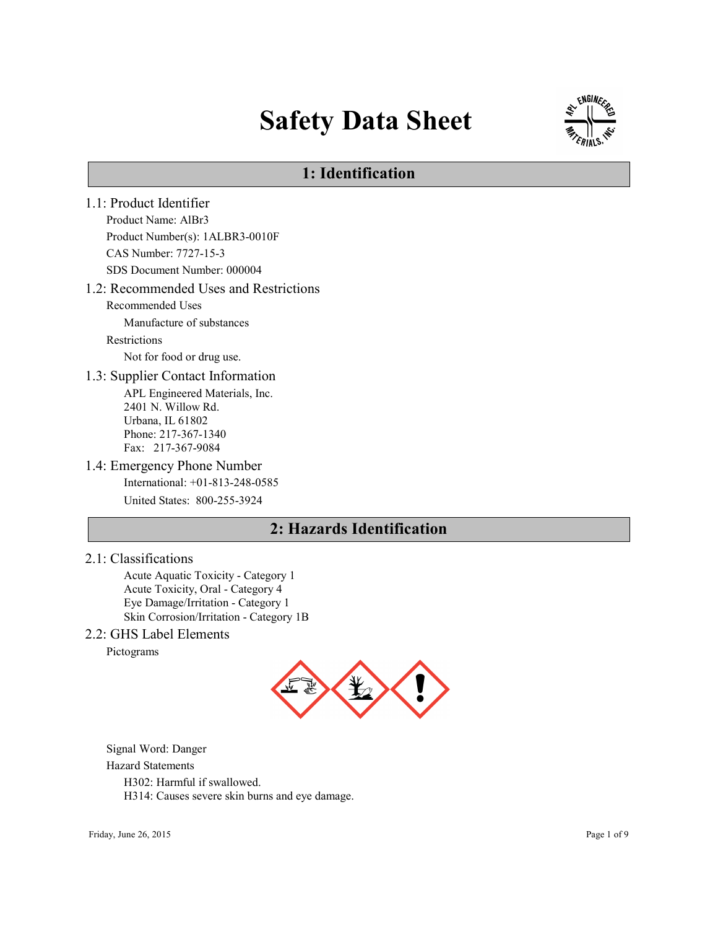# Safety Data Sheet



# 1: Identification

1.1: Product Identifier Product Name: AlBr3 Product Number(s): 1ALBR3-0010F CAS Number: 7727-15-3 SDS Document Number: 000004 1.2: Recommended Uses and Restrictions Recommended Uses Manufacture of substances Restrictions Not for food or drug use. 1.3: Supplier Contact Information APL Engineered Materials, Inc. 2401 N. Willow Rd. Urbana, IL 61802 Phone: 217-367-1340 Fax: 217-367-9084 1.4: Emergency Phone Number International: +01-813-248-0585 United States: 800-255-3924 2: Hazards Identification

### 2.1: Classifications

Acute Aquatic Toxicity - Category 1 Acute Toxicity, Oral - Category 4 Eye Damage/Irritation - Category 1 Skin Corrosion/Irritation - Category 1B

### 2.2: GHS Label Elements

Pictograms



Signal Word: Danger

#### Hazard Statements

H302: Harmful if swallowed.

H314: Causes severe skin burns and eye damage.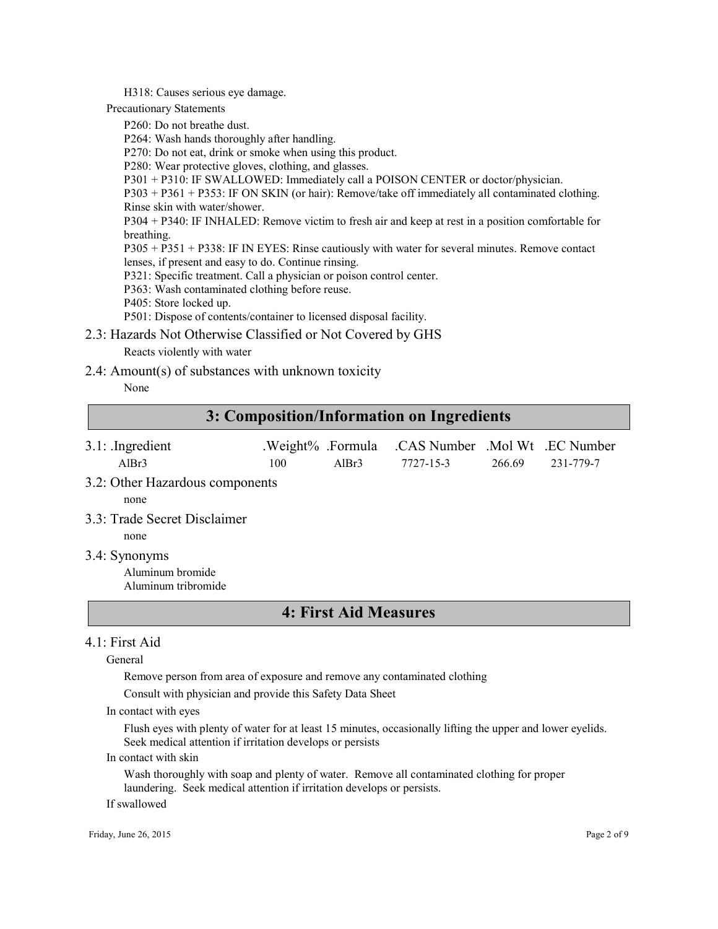H318: Causes serious eye damage.

Precautionary Statements

P260: Do not breathe dust.

P264: Wash hands thoroughly after handling.

P270: Do not eat, drink or smoke when using this product.

P280: Wear protective gloves, clothing, and glasses.

P301 + P310: IF SWALLOWED: Immediately call a POISON CENTER or doctor/physician.

P303 + P361 + P353: IF ON SKIN (or hair): Remove/take off immediately all contaminated clothing. Rinse skin with water/shower.

P304 + P340: IF INHALED: Remove victim to fresh air and keep at rest in a position comfortable for breathing.

P305 + P351 + P338: IF IN EYES: Rinse cautiously with water for several minutes. Remove contact lenses, if present and easy to do. Continue rinsing.

P321: Specific treatment. Call a physician or poison control center.

P363: Wash contaminated clothing before reuse.

P405: Store locked up.

P501: Dispose of contents/container to licensed disposal facility.

2.3: Hazards Not Otherwise Classified or Not Covered by GHS

Reacts violently with water

2.4: Amount(s) of substances with unknown toxicity

None

### 3: Composition/Information on Ingredients

| $3.1$ : Ingredient |     |                   | .Weight% .Formula .CAS Number .Mol Wt .EC Number |        |           |
|--------------------|-----|-------------------|--------------------------------------------------|--------|-----------|
| AlBr3              | 100 | AlBr <sub>3</sub> | 7727-15-3                                        | 266.69 | 231-779-7 |

3.2: Other Hazardous components

none

3.3: Trade Secret Disclaimer

none

3.4: Synonyms

Aluminum bromide Aluminum tribromide

### 4: First Aid Measures

### 4.1: First Aid

General

Remove person from area of exposure and remove any contaminated clothing

Consult with physician and provide this Safety Data Sheet

In contact with eyes

Flush eyes with plenty of water for at least 15 minutes, occasionally lifting the upper and lower eyelids. Seek medical attention if irritation develops or persists

In contact with skin

Wash thoroughly with soap and plenty of water. Remove all contaminated clothing for proper laundering. Seek medical attention if irritation develops or persists.

If swallowed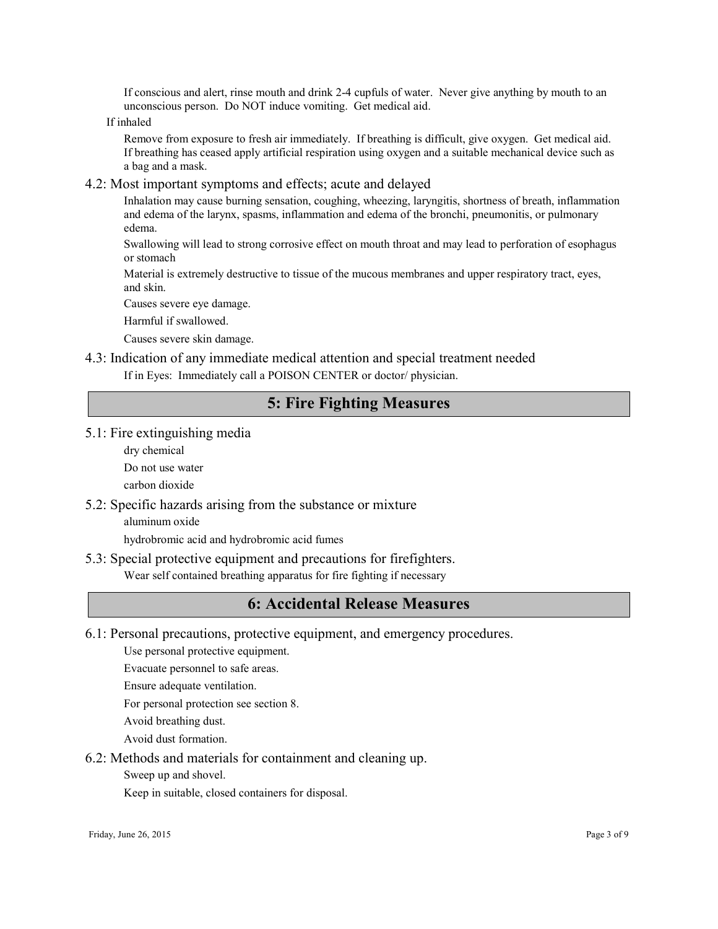If conscious and alert, rinse mouth and drink 2-4 cupfuls of water. Never give anything by mouth to an unconscious person. Do NOT induce vomiting. Get medical aid.

If inhaled

Remove from exposure to fresh air immediately. If breathing is difficult, give oxygen. Get medical aid. If breathing has ceased apply artificial respiration using oxygen and a suitable mechanical device such as a bag and a mask.

#### 4.2: Most important symptoms and effects; acute and delayed

Inhalation may cause burning sensation, coughing, wheezing, laryngitis, shortness of breath, inflammation and edema of the larynx, spasms, inflammation and edema of the bronchi, pneumonitis, or pulmonary edema.

Swallowing will lead to strong corrosive effect on mouth throat and may lead to perforation of esophagus or stomach

Material is extremely destructive to tissue of the mucous membranes and upper respiratory tract, eyes, and skin.

Causes severe eye damage.

Harmful if swallowed.

Causes severe skin damage.

### 4.3: Indication of any immediate medical attention and special treatment needed

If in Eyes: Immediately call a POISON CENTER or doctor/ physician.

# 5: Fire Fighting Measures

- 5.1: Fire extinguishing media
	- dry chemical
	- Do not use water

carbon dioxide

5.2: Specific hazards arising from the substance or mixture

aluminum oxide

hydrobromic acid and hydrobromic acid fumes

5.3: Special protective equipment and precautions for firefighters.

Wear self contained breathing apparatus for fire fighting if necessary

### 6: Accidental Release Measures

6.1: Personal precautions, protective equipment, and emergency procedures.

Use personal protective equipment.

Evacuate personnel to safe areas.

Ensure adequate ventilation.

For personal protection see section 8.

Avoid breathing dust.

Avoid dust formation.

6.2: Methods and materials for containment and cleaning up.

Sweep up and shovel.

Keep in suitable, closed containers for disposal.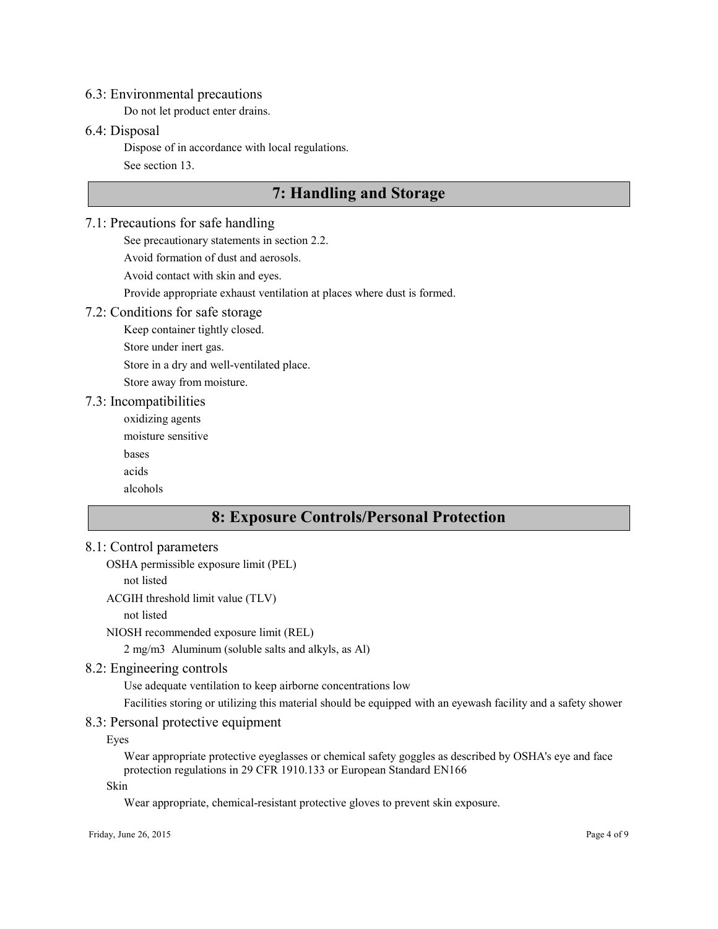#### 6.3: Environmental precautions

Do not let product enter drains.

### 6.4: Disposal

Dispose of in accordance with local regulations.

See section 13.

# 7: Handling and Storage

### 7.1: Precautions for safe handling

See precautionary statements in section 2.2.

Avoid formation of dust and aerosols.

Avoid contact with skin and eyes.

Provide appropriate exhaust ventilation at places where dust is formed.

### 7.2: Conditions for safe storage

Keep container tightly closed. Store under inert gas.

Store in a dry and well-ventilated place.

Store away from moisture.

#### 7.3: Incompatibilities

oxidizing agents

moisture sensitive

bases

acids

alcohols

# 8: Exposure Controls/Personal Protection

### 8.1: Control parameters

OSHA permissible exposure limit (PEL)

not listed

ACGIH threshold limit value (TLV)

not listed

NIOSH recommended exposure limit (REL)

2 mg/m3 Aluminum (soluble salts and alkyls, as Al)

### 8.2: Engineering controls

Use adequate ventilation to keep airborne concentrations low

Facilities storing or utilizing this material should be equipped with an eyewash facility and a safety shower

### 8.3: Personal protective equipment

Eyes

Wear appropriate protective eyeglasses or chemical safety goggles as described by OSHA's eye and face protection regulations in 29 CFR 1910.133 or European Standard EN166

Skin

Wear appropriate, chemical-resistant protective gloves to prevent skin exposure.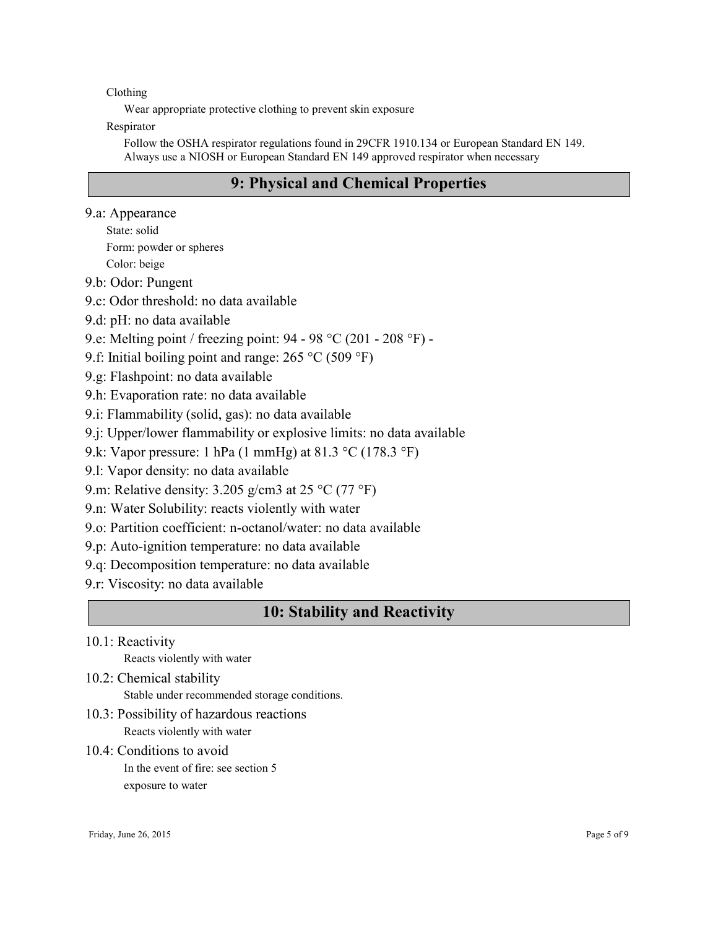Clothing

Wear appropriate protective clothing to prevent skin exposure

Respirator

Follow the OSHA respirator regulations found in 29CFR 1910.134 or European Standard EN 149. Always use a NIOSH or European Standard EN 149 approved respirator when necessary

# 9: Physical and Chemical Properties

- 9.a: Appearance
	- State: solid Form: powder or spheres Color: beige
- 9.b: Odor: Pungent
- 9.c: Odor threshold: no data available
- 9.d: pH: no data available
- 9.e: Melting point / freezing point: 94 98 °C (201 208 °F) -
- 9.f: Initial boiling point and range: 265 °C (509 °F)
- 9.g: Flashpoint: no data available
- 9.h: Evaporation rate: no data available
- 9.i: Flammability (solid, gas): no data available
- 9.j: Upper/lower flammability or explosive limits: no data available
- 9.k: Vapor pressure: 1 hPa (1 mmHg) at 81.3 °C (178.3 °F)
- 9.l: Vapor density: no data available
- 9.m: Relative density: 3.205 g/cm3 at 25 °C (77 °F)
- 9.n: Water Solubility: reacts violently with water
- 9.o: Partition coefficient: n-octanol/water: no data available
- 9.p: Auto-ignition temperature: no data available
- 9.q: Decomposition temperature: no data available
- 9.r: Viscosity: no data available

### 10: Stability and Reactivity

10.1: Reactivity

Reacts violently with water

- 10.2: Chemical stability
	- Stable under recommended storage conditions.
- 10.3: Possibility of hazardous reactions Reacts violently with water
- 10.4: Conditions to avoid In the event of fire: see section 5 exposure to water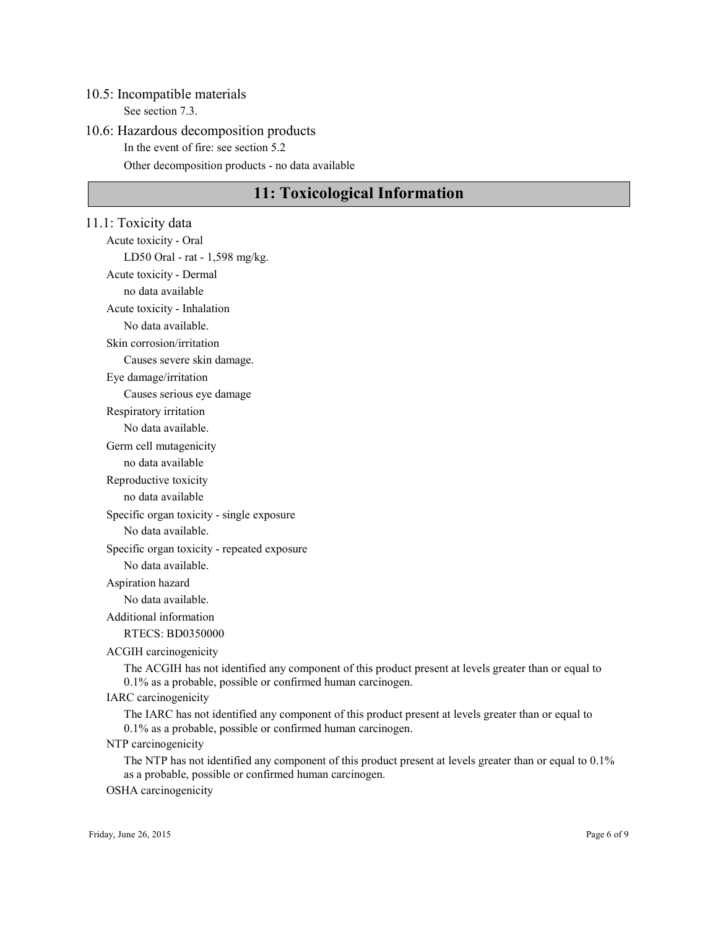#### 10.5: Incompatible materials

See section 7.3.

### 10.6: Hazardous decomposition products In the event of fire: see section 5.2

Other decomposition products - no data available

# 11: Toxicological Information

11.1: Toxicity data Acute toxicity - Oral LD50 Oral - rat - 1,598 mg/kg. Acute toxicity - Dermal no data available Acute toxicity - Inhalation No data available. Skin corrosion/irritation Causes severe skin damage. Eye damage/irritation Causes serious eye damage Respiratory irritation No data available. Germ cell mutagenicity no data available Reproductive toxicity no data available Specific organ toxicity - single exposure No data available. Specific organ toxicity - repeated exposure No data available. Aspiration hazard No data available. Additional information RTECS: BD0350000 ACGIH carcinogenicity The ACGIH has not identified any component of this product present at levels greater than or equal to 0.1% as a probable, possible or confirmed human carcinogen. IARC carcinogenicity The IARC has not identified any component of this product present at levels greater than or equal to 0.1% as a probable, possible or confirmed human carcinogen. NTP carcinogenicity The NTP has not identified any component of this product present at levels greater than or equal to 0.1% as a probable, possible or confirmed human carcinogen.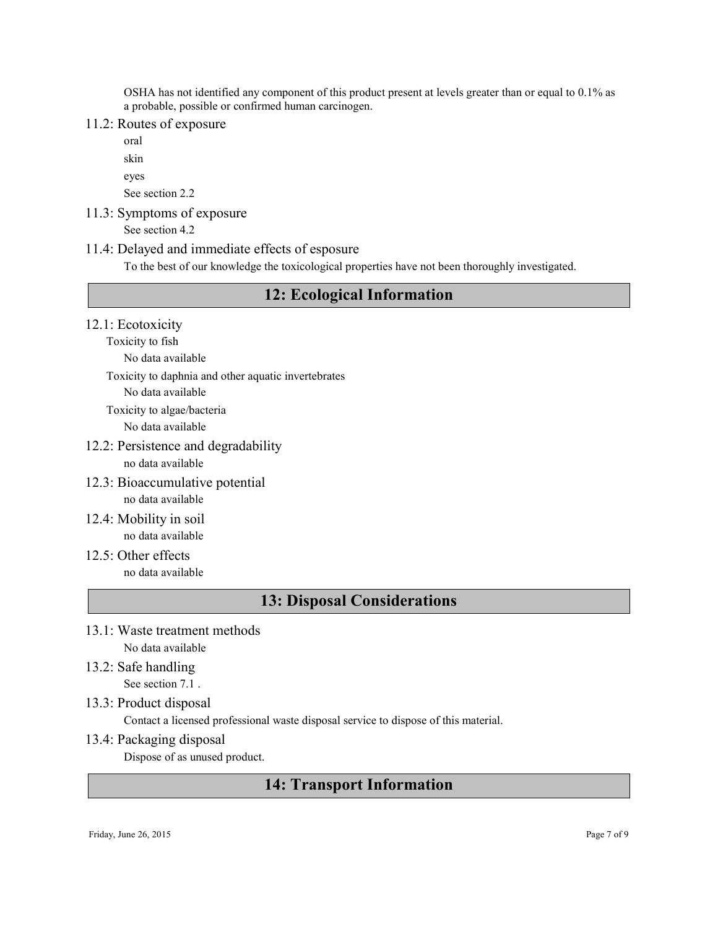OSHA has not identified any component of this product present at levels greater than or equal to 0.1% as a probable, possible or confirmed human carcinogen.

### 11.2: Routes of exposure

oral skin eyes See section 2.2

11.3: Symptoms of exposure

See section 4.2

#### 11.4: Delayed and immediate effects of esposure

To the best of our knowledge the toxicological properties have not been thoroughly investigated.

# 12: Ecological Information

- 12.1: Ecotoxicity
	- Toxicity to fish

No data available

Toxicity to daphnia and other aquatic invertebrates

No data available

Toxicity to algae/bacteria

No data available

### 12.2: Persistence and degradability

no data available

- 12.3: Bioaccumulative potential no data available
- 12.4: Mobility in soil no data available
- $12.5$ : Other effects no data available

### 13: Disposal Considerations

- 13.1: Waste treatment methods No data available
- 13.2: Safe handling See section 7.1 .
- 13.3: Product disposal

Contact a licensed professional waste disposal service to dispose of this material.

13.4: Packaging disposal

Dispose of as unused product.

# 14: Transport Information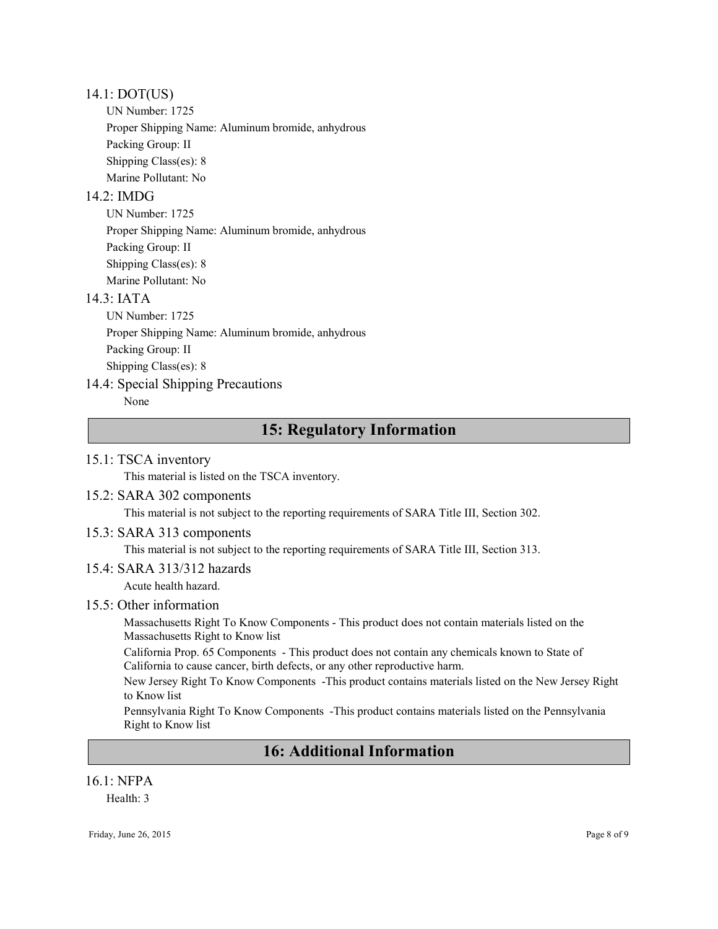#### 14.1: DOT(US)

UN Number: 1725 Proper Shipping Name: Aluminum bromide, anhydrous Packing Group: II Shipping Class(es): 8 Marine Pollutant: No

### $14.2 \cdot \text{IMDG}$

UN Number: 1725 Proper Shipping Name: Aluminum bromide, anhydrous Packing Group: II Shipping Class(es): 8 Marine Pollutant: No

### $14.3$   $IATA$

UN Number: 1725 Proper Shipping Name: Aluminum bromide, anhydrous Packing Group: II Shipping Class(es): 8

### 14.4: Special Shipping Precautions

None

# 15: Regulatory Information

### 15.1: TSCA inventory

This material is listed on the TSCA inventory.

### 15.2: SARA 302 components

This material is not subject to the reporting requirements of SARA Title III, Section 302.

### 15.3: SARA 313 components

This material is not subject to the reporting requirements of SARA Title III, Section 313.

### 15.4: SARA 313/312 hazards

Acute health hazard.

### 15.5: Other information

Massachusetts Right To Know Components - This product does not contain materials listed on the Massachusetts Right to Know list

California Prop. 65 Components - This product does not contain any chemicals known to State of California to cause cancer, birth defects, or any other reproductive harm.

New Jersey Right To Know Components -This product contains materials listed on the New Jersey Right to Know list

Pennsylvania Right To Know Components -This product contains materials listed on the Pennsylvania Right to Know list

# 16: Additional Information

### 16.1: NFPA

Health: 3